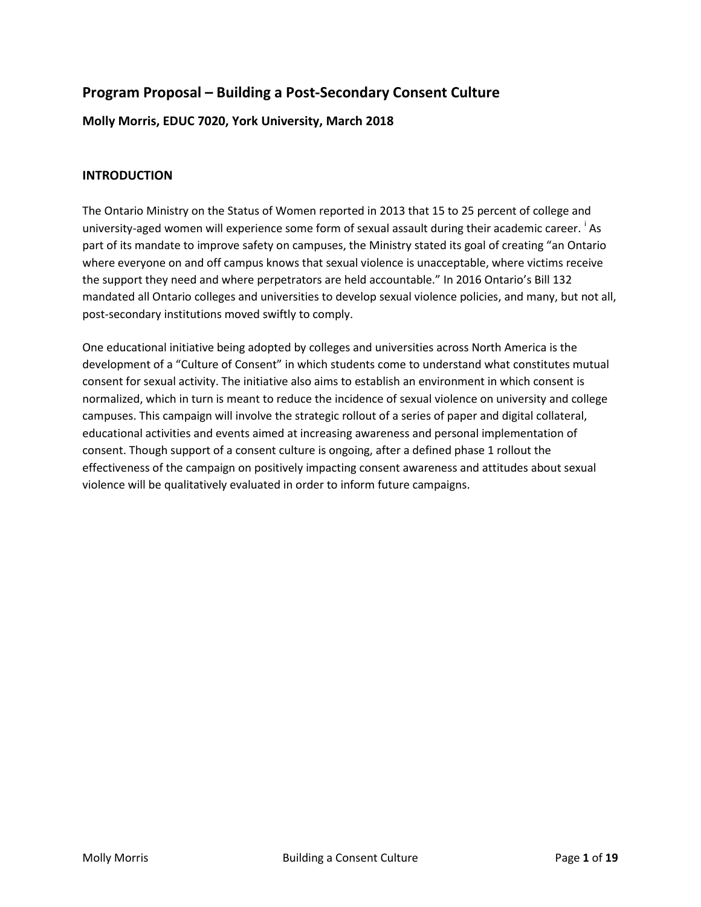# **Program Proposal – Building a Post-Secondary Consent Culture**

## **Molly Morris, EDUC 7020, York University, March 2018**

## **INTRODUCTION**

The Ontario Ministry on the Status of Women reported in 2013 that 15 to 25 percent of college and un[i](#page-18-0)versity-aged women will experience some form of sexual assault during their academic career. <sup>i</sup> As part of its mandate to improve safety on campuses, the Ministry stated its goal of creating "an Ontario where everyone on and off campus knows that sexual violence is unacceptable, where victims receive the support they need and where perpetrators are held accountable." In 2016 Ontario's Bill 132 mandated all Ontario colleges and universities to develop sexual violence policies, and many, but not all, post-secondary institutions moved swiftly to comply.

One educational initiative being adopted by colleges and universities across North America is the development of a "Culture of Consent" in which students come to understand what constitutes mutual consent for sexual activity. The initiative also aims to establish an environment in which consent is normalized, which in turn is meant to reduce the incidence of sexual violence on university and college campuses. This campaign will involve the strategic rollout of a series of paper and digital collateral, educational activities and events aimed at increasing awareness and personal implementation of consent. Though support of a consent culture is ongoing, after a defined phase 1 rollout the effectiveness of the campaign on positively impacting consent awareness and attitudes about sexual violence will be qualitatively evaluated in order to inform future campaigns.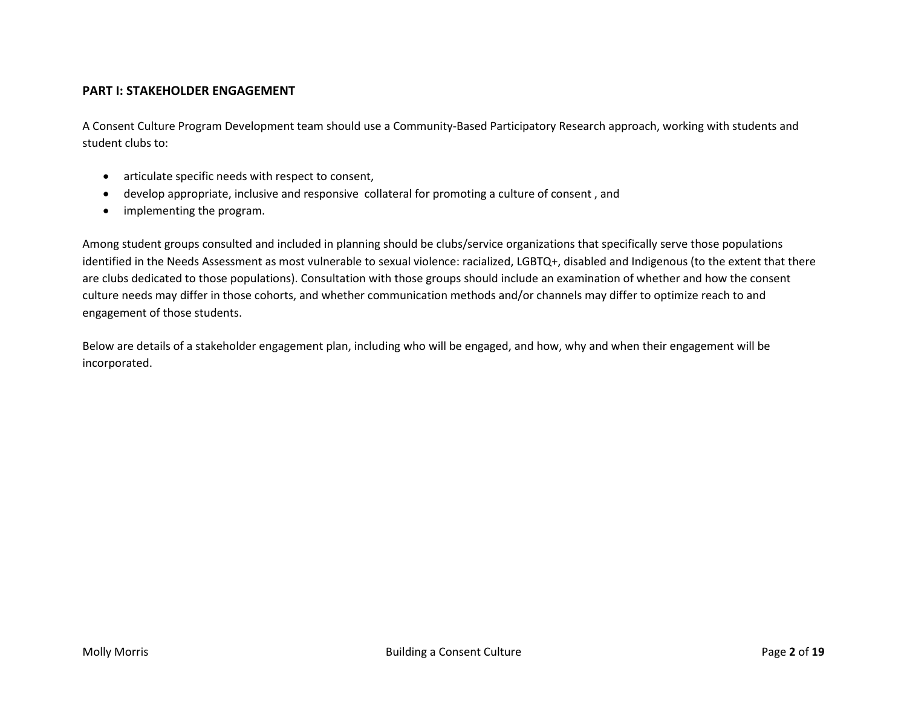### **PART I: STAKEHOLDER ENGAGEMENT**

A Consent Culture Program Development team should use a Community-Based Participatory Research approach, working with students and student clubs to:

- articulate specific needs with respect to consent,
- develop appropriate, inclusive and responsive collateral for promoting a culture of consent , and
- implementing the program.

Among student groups consulted and included in planning should be clubs/service organizations that specifically serve those populations identified in the Needs Assessment as most vulnerable to sexual violence: racialized, LGBTQ+, disabled and Indigenous (to the extent that there are clubs dedicated to those populations). Consultation with those groups should include an examination of whether and how the consent culture needs may differ in those cohorts, and whether communication methods and/or channels may differ to optimize reach to and engagement of those students.

Below are details of a stakeholder engagement plan, including who will be engaged, and how, why and when their engagement will be incorporated.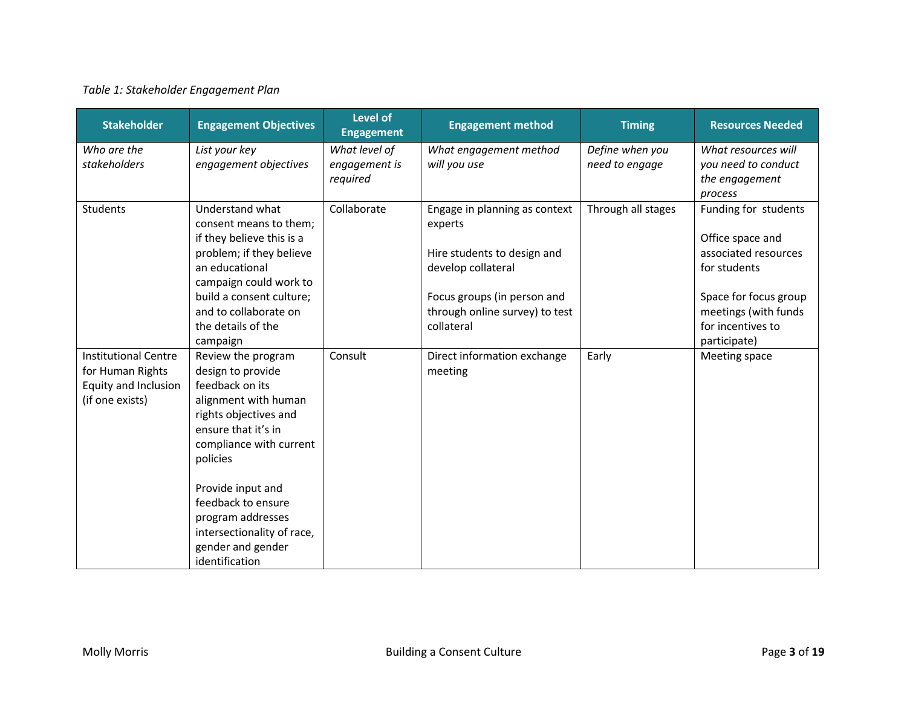## *Table 1: Stakeholder Engagement Plan*

| <b>Stakeholder</b>          | <b>Engagement Objectives</b>              | <b>Level of</b><br><b>Engagement</b> | <b>Engagement method</b>                 | <b>Timing</b>                     | <b>Resources Needed</b>                    |
|-----------------------------|-------------------------------------------|--------------------------------------|------------------------------------------|-----------------------------------|--------------------------------------------|
| Who are the<br>stakeholders | List your key<br>engagement objectives    | What level of<br>engagement is       | What engagement method<br>will you use   | Define when you<br>need to engage | What resources will<br>you need to conduct |
|                             |                                           | required                             |                                          |                                   | the engagement<br>process                  |
| <b>Students</b>             | Understand what<br>consent means to them; | Collaborate                          | Engage in planning as context<br>experts | Through all stages                | Funding for students                       |
|                             | if they believe this is a                 |                                      |                                          |                                   | Office space and                           |
|                             | problem; if they believe                  |                                      | Hire students to design and              |                                   | associated resources                       |
|                             | an educational<br>campaign could work to  |                                      | develop collateral                       |                                   | for students                               |
|                             | build a consent culture;                  |                                      | Focus groups (in person and              |                                   | Space for focus group                      |
|                             | and to collaborate on                     |                                      | through online survey) to test           |                                   | meetings (with funds                       |
|                             | the details of the                        |                                      | collateral                               |                                   | for incentives to                          |
| <b>Institutional Centre</b> | campaign<br>Review the program            | Consult                              | Direct information exchange              | Early                             | participate)<br>Meeting space              |
| for Human Rights            | design to provide                         |                                      | meeting                                  |                                   |                                            |
| Equity and Inclusion        | feedback on its                           |                                      |                                          |                                   |                                            |
| (if one exists)             | alignment with human                      |                                      |                                          |                                   |                                            |
|                             | rights objectives and                     |                                      |                                          |                                   |                                            |
|                             | ensure that it's in                       |                                      |                                          |                                   |                                            |
|                             | compliance with current<br>policies       |                                      |                                          |                                   |                                            |
|                             |                                           |                                      |                                          |                                   |                                            |
|                             | Provide input and                         |                                      |                                          |                                   |                                            |
|                             | feedback to ensure                        |                                      |                                          |                                   |                                            |
|                             | program addresses                         |                                      |                                          |                                   |                                            |
|                             | intersectionality of race,                |                                      |                                          |                                   |                                            |
|                             | gender and gender<br>identification       |                                      |                                          |                                   |                                            |
|                             |                                           |                                      |                                          |                                   |                                            |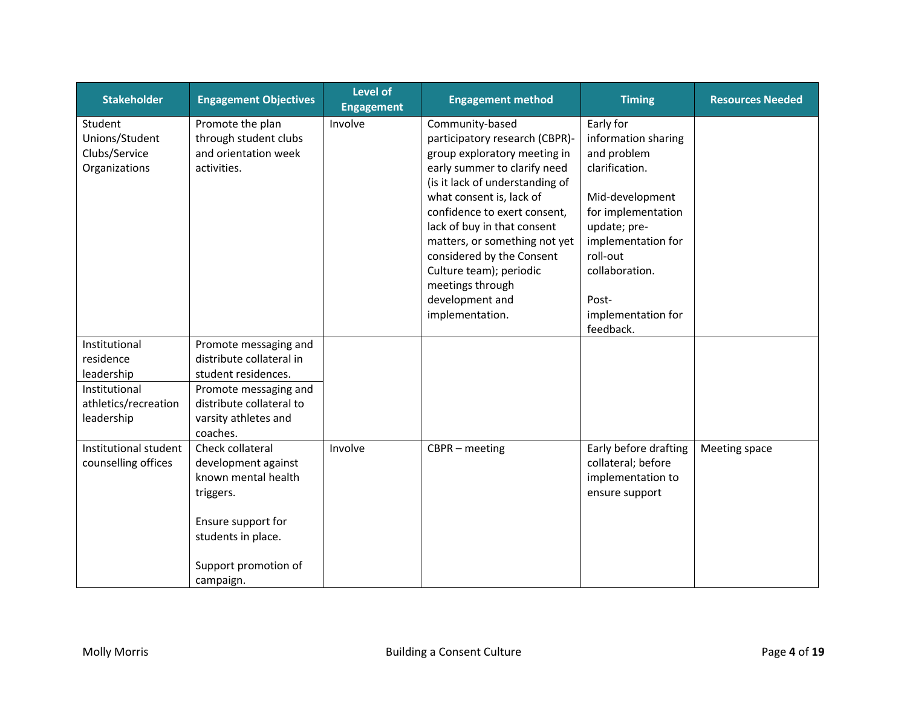| <b>Stakeholder</b>                                                                              | <b>Engagement Objectives</b>                                                                                                                                      | <b>Level of</b><br><b>Engagement</b> | <b>Engagement method</b>                                                                                                                                                                                                                                                                                                                                                                           | <b>Timing</b>                                                                                                                                                                                                              | <b>Resources Needed</b> |
|-------------------------------------------------------------------------------------------------|-------------------------------------------------------------------------------------------------------------------------------------------------------------------|--------------------------------------|----------------------------------------------------------------------------------------------------------------------------------------------------------------------------------------------------------------------------------------------------------------------------------------------------------------------------------------------------------------------------------------------------|----------------------------------------------------------------------------------------------------------------------------------------------------------------------------------------------------------------------------|-------------------------|
| Student<br>Unions/Student<br>Clubs/Service<br>Organizations                                     | Promote the plan<br>through student clubs<br>and orientation week<br>activities.                                                                                  | Involve                              | Community-based<br>participatory research (CBPR)-<br>group exploratory meeting in<br>early summer to clarify need<br>(is it lack of understanding of<br>what consent is, lack of<br>confidence to exert consent,<br>lack of buy in that consent<br>matters, or something not yet<br>considered by the Consent<br>Culture team); periodic<br>meetings through<br>development and<br>implementation. | Early for<br>information sharing<br>and problem<br>clarification.<br>Mid-development<br>for implementation<br>update; pre-<br>implementation for<br>roll-out<br>collaboration.<br>Post-<br>implementation for<br>feedback. |                         |
| Institutional<br>residence<br>leadership<br>Institutional<br>athletics/recreation<br>leadership | Promote messaging and<br>distribute collateral in<br>student residences.<br>Promote messaging and<br>distribute collateral to<br>varsity athletes and<br>coaches. |                                      |                                                                                                                                                                                                                                                                                                                                                                                                    |                                                                                                                                                                                                                            |                         |
| Institutional student<br>counselling offices                                                    | Check collateral<br>development against<br>known mental health<br>triggers.<br>Ensure support for<br>students in place.<br>Support promotion of<br>campaign.      | Involve                              | $CBPR - meeting$                                                                                                                                                                                                                                                                                                                                                                                   | Early before drafting<br>collateral; before<br>implementation to<br>ensure support                                                                                                                                         | Meeting space           |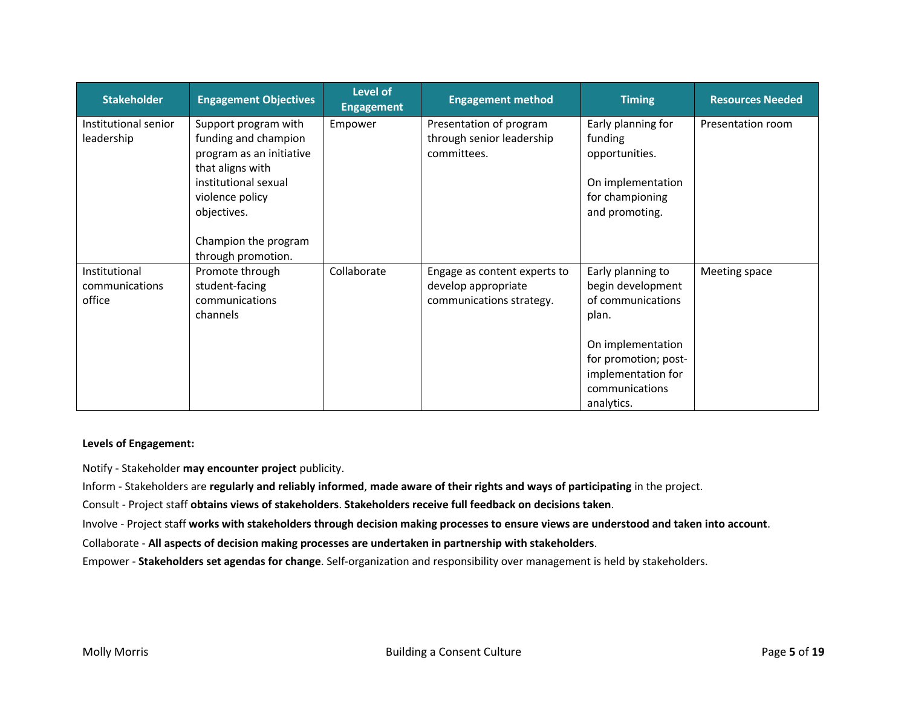| <b>Stakeholder</b>                        | <b>Engagement Objectives</b>                                                                                                                                                                         | <b>Level of</b><br><b>Engagement</b> | <b>Engagement method</b>                                                        | <b>Timing</b>                                                                                                                                                           | <b>Resources Needed</b> |
|-------------------------------------------|------------------------------------------------------------------------------------------------------------------------------------------------------------------------------------------------------|--------------------------------------|---------------------------------------------------------------------------------|-------------------------------------------------------------------------------------------------------------------------------------------------------------------------|-------------------------|
| Institutional senior<br>leadership        | Support program with<br>funding and champion<br>program as an initiative<br>that aligns with<br>institutional sexual<br>violence policy<br>objectives.<br>Champion the program<br>through promotion. | Empower                              | Presentation of program<br>through senior leadership<br>committees.             | Early planning for<br>funding<br>opportunities.<br>On implementation<br>for championing<br>and promoting.                                                               | Presentation room       |
| Institutional<br>communications<br>office | Promote through<br>student-facing<br>communications<br>channels                                                                                                                                      | Collaborate                          | Engage as content experts to<br>develop appropriate<br>communications strategy. | Early planning to<br>begin development<br>of communications<br>plan.<br>On implementation<br>for promotion; post-<br>implementation for<br>communications<br>analytics. | Meeting space           |

### **Levels of Engagement:**

Notify - Stakeholder **may encounter project** publicity.

Inform - Stakeholders are **regularly and reliably informed**, **made aware of their rights and ways of participating** in the project.

Consult - Project staff **obtains views of stakeholders**. **Stakeholders receive full feedback on decisions taken**.

Involve - Project staff **works with stakeholders through decision making processes to ensure views are understood and taken into account**.

Collaborate - **All aspects of decision making processes are undertaken in partnership with stakeholders**.

Empower - **Stakeholders set agendas for change**. Self-organization and responsibility over management is held by stakeholders.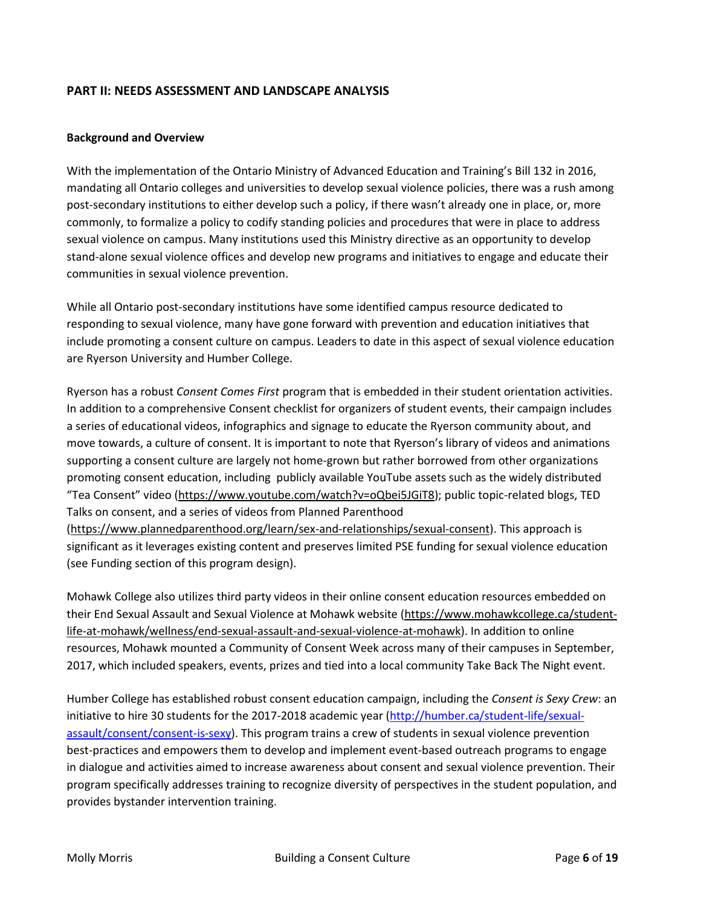## **PART II: NEEDS ASSESSMENT AND LANDSCAPE ANALYSIS**

#### **Background and Overview**

With the implementation of the Ontario Ministry of Advanced Education and Training's Bill 132 in 2016, mandating all Ontario colleges and universities to develop sexual violence policies, there was a rush among post-secondary institutions to either develop such a policy, if there wasn't already one in place, or, more commonly, to formalize a policy to codify standing policies and procedures that were in place to address sexual violence on campus. Many institutions used this Ministry directive as an opportunity to develop stand-alone sexual violence offices and develop new programs and initiatives to engage and educate their communities in sexual violence prevention.

While all Ontario post-secondary institutions have some identified campus resource dedicated to responding to sexual violence, many have gone forward with prevention and education initiatives that include promoting a consent culture on campus. Leaders to date in this aspect of sexual violence education are Ryerson University and Humber College.

Ryerson has a robust *Consent Comes First* program that is embedded in their student orientation activities. In addition to a comprehensive Consent checklist for organizers of student events, their campaign includes a series of educational videos, infographics and signage to educate the Ryerson community about, and move towards, a culture of consent. It is important to note that Ryerson's library of videos and animations supporting a consent culture are largely not home-grown but rather borrowed from other organizations promoting consent education, including publicly available YouTube assets such as the widely distributed "Tea Consent" video [\(https://www.youtube.com/watch?v=oQbei5JGiT8\)](https://www.youtube.com/watch?v=oQbei5JGiT8); public topic-related blogs, TED Talks on consent, and a series of videos from Planned Parenthood [\(https://www.plannedparenthood.org/learn/sex-and-relationships/sexual-consent\)](https://www.plannedparenthood.org/learn/sex-and-relationships/sexual-consent). This approach is

significant as it leverages existing content and preserves limited PSE funding for sexual violence education (see Funding section of this program design).

Mohawk College also utilizes third party videos in their online consent education resources embedded on their End Sexual Assault and Sexual Violence at Mohawk website [\(https://www.mohawkcollege.ca/student](https://www.mohawkcollege.ca/student-life-at-mohawk/wellness/end-sexual-assault-and-sexual-violence-at-mohawk)[life-at-mohawk/wellness/end-sexual-assault-and-sexual-violence-at-mohawk\)](https://www.mohawkcollege.ca/student-life-at-mohawk/wellness/end-sexual-assault-and-sexual-violence-at-mohawk). In addition to online resources, Mohawk mounted a Community of Consent Week across many of their campuses in September, 2017, which included speakers, events, prizes and tied into a local community Take Back The Night event.

Humber College has established robust consent education campaign, including the *Consent is Sexy Crew*: an initiative to hire 30 students for the 2017-2018 academic year [\(http://humber.ca/student-life/sexual](http://humber.ca/student-life/sexual-assault/consent/consent-is-sexy)[assault/consent/consent-is-sexy\)](http://humber.ca/student-life/sexual-assault/consent/consent-is-sexy). This program trains a crew of students in sexual violence prevention best-practices and empowers them to develop and implement event-based outreach programs to engage in dialogue and activities aimed to increase awareness about consent and sexual violence prevention. Their program specifically addresses training to recognize diversity of perspectives in the student population, and provides bystander intervention training.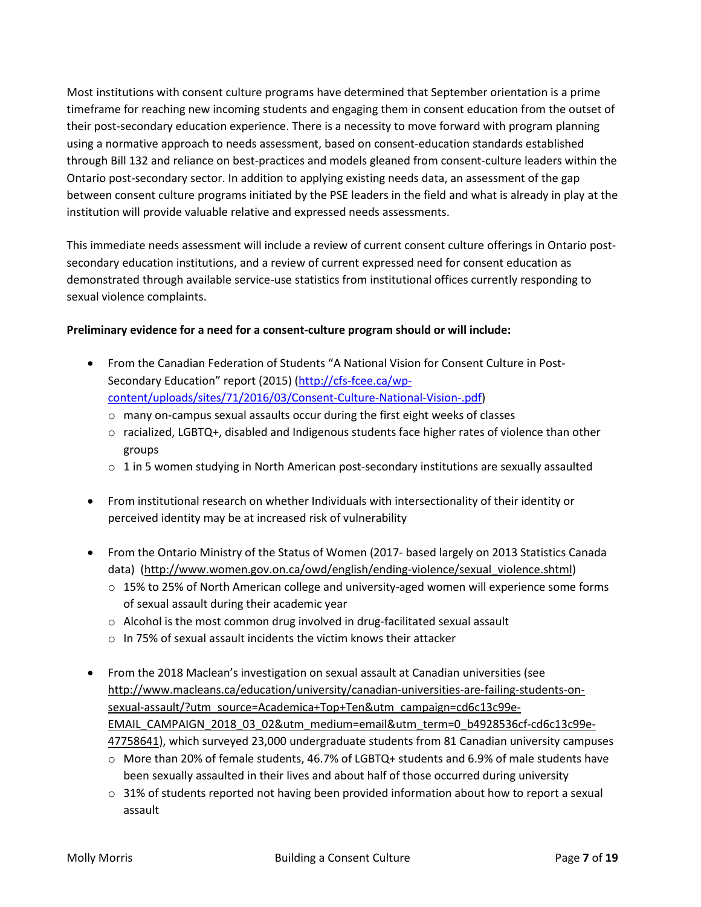Most institutions with consent culture programs have determined that September orientation is a prime timeframe for reaching new incoming students and engaging them in consent education from the outset of their post-secondary education experience. There is a necessity to move forward with program planning using a normative approach to needs assessment, based on consent-education standards established through Bill 132 and reliance on best-practices and models gleaned from consent-culture leaders within the Ontario post-secondary sector. In addition to applying existing needs data, an assessment of the gap between consent culture programs initiated by the PSE leaders in the field and what is already in play at the institution will provide valuable relative and expressed needs assessments.

This immediate needs assessment will include a review of current consent culture offerings in Ontario postsecondary education institutions, and a review of current expressed need for consent education as demonstrated through available service-use statistics from institutional offices currently responding to sexual violence complaints.

## **Preliminary evidence for a need for a consent-culture program should or will include:**

- From the Canadian Federation of Students "A National Vision for Consent Culture in Post-Secondary Education" report (2015) [\(http://cfs-fcee.ca/wp](http://cfs-fcee.ca/wp-content/uploads/sites/71/2016/03/Consent-Culture-National-Vision-.pdf)[content/uploads/sites/71/2016/03/Consent-Culture-National-Vision-.pdf\)](http://cfs-fcee.ca/wp-content/uploads/sites/71/2016/03/Consent-Culture-National-Vision-.pdf)
	- o many on-campus sexual assaults occur during the first eight weeks of classes
	- $\circ$  racialized, LGBTQ+, disabled and Indigenous students face higher rates of violence than other groups
	- $\circ$  1 in 5 women studying in North American post-secondary institutions are sexually assaulted
- From institutional research on whether Individuals with intersectionality of their identity or perceived identity may be at increased risk of vulnerability
- From the Ontario Ministry of the Status of Women (2017- based largely on 2013 Statistics Canada data) [\(http://www.women.gov.on.ca/owd/english/ending-violence/sexual\\_violence.shtml\)](http://www.women.gov.on.ca/owd/english/ending-violence/sexual_violence.shtml)
	- $\circ$  15% to 25% of North American college and university-aged women will experience some forms of sexual assault during their academic year
	- o Alcohol is the most common drug involved in drug-facilitated sexual assault
	- o In 75% of sexual assault incidents the victim knows their attacker
- From the 2018 Maclean's investigation on sexual assault at Canadian universities (see [http://www.macleans.ca/education/university/canadian-universities-are-failing-students-on](http://www.macleans.ca/education/university/canadian-universities-are-failing-students-on-sexual-assault/?utm_source=Academica+Top+Ten&utm_campaign=cd6c13c99e-EMAIL_CAMPAIGN_2018_03_02&utm_medium=email&utm_term=0_b4928536cf-cd6c13c99e-47758641)[sexual-assault/?utm\\_source=Academica+Top+Ten&utm\\_campaign=cd6c13c99e-](http://www.macleans.ca/education/university/canadian-universities-are-failing-students-on-sexual-assault/?utm_source=Academica+Top+Ten&utm_campaign=cd6c13c99e-EMAIL_CAMPAIGN_2018_03_02&utm_medium=email&utm_term=0_b4928536cf-cd6c13c99e-47758641)[EMAIL\\_CAMPAIGN\\_2018\\_03\\_02&utm\\_medium=email&utm\\_term=0\\_b4928536cf-cd6c13c99e-](http://www.macleans.ca/education/university/canadian-universities-are-failing-students-on-sexual-assault/?utm_source=Academica+Top+Ten&utm_campaign=cd6c13c99e-EMAIL_CAMPAIGN_2018_03_02&utm_medium=email&utm_term=0_b4928536cf-cd6c13c99e-47758641)[47758641\)](http://www.macleans.ca/education/university/canadian-universities-are-failing-students-on-sexual-assault/?utm_source=Academica+Top+Ten&utm_campaign=cd6c13c99e-EMAIL_CAMPAIGN_2018_03_02&utm_medium=email&utm_term=0_b4928536cf-cd6c13c99e-47758641), which surveyed 23,000 undergraduate students from 81 Canadian university campuses
	- o More than 20% of female students, 46.7% of LGBTQ+ students and 6.9% of male students have been sexually assaulted in their lives and about half of those occurred during university
	- $\circ$  31% of students reported not having been provided information about how to report a sexual assault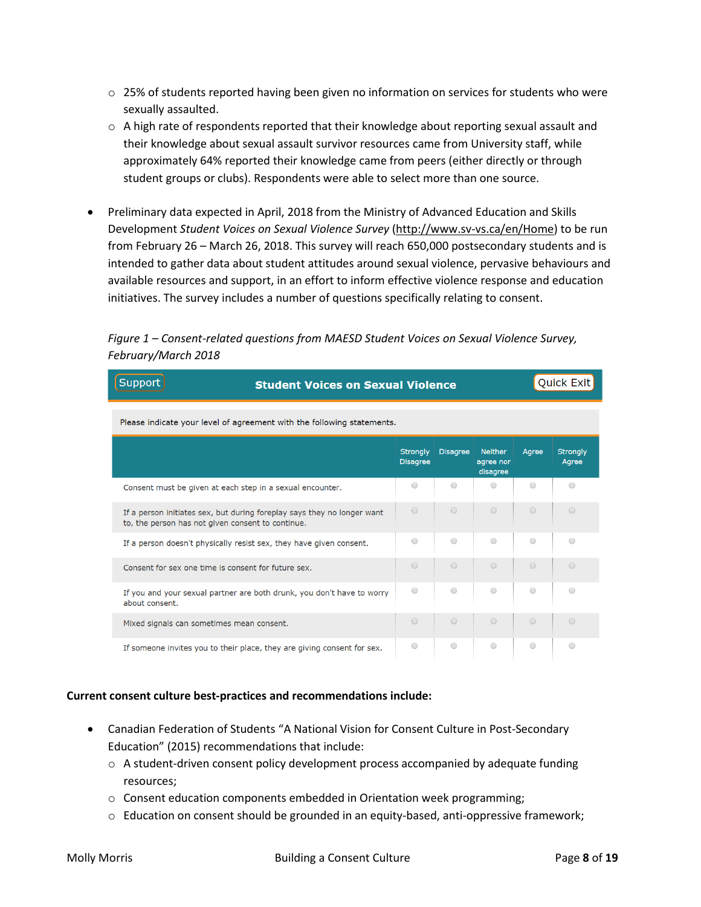- $\circ$  25% of students reported having been given no information on services for students who were sexually assaulted.
- $\circ$  A high rate of respondents reported that their knowledge about reporting sexual assault and their knowledge about sexual assault survivor resources came from University staff, while approximately 64% reported their knowledge came from peers (either directly or through student groups or clubs). Respondents were able to select more than one source.
- Preliminary data expected in April, 2018 from the Ministry of Advanced Education and Skills Development *Student Voices on Sexual Violence Survey* [\(http://www.sv-vs.ca/en/Home\)](http://www.sv-vs.ca/en/Home) to be run from February 26 – March 26, 2018. This survey will reach 650,000 postsecondary students and is intended to gather data about student attitudes around sexual violence, pervasive behaviours and available resources and support, in an effort to inform effective violence response and education initiatives. The survey includes a number of questions specifically relating to consent.

## *Figure 1 – Consent-related questions from MAESD Student Voices on Sexual Violence Survey, February/March 2018*

| Support                                                                |                                                                         | <b>Quick Exit</b>                  |                 |                                         |            |                          |
|------------------------------------------------------------------------|-------------------------------------------------------------------------|------------------------------------|-----------------|-----------------------------------------|------------|--------------------------|
| Please indicate your level of agreement with the following statements. |                                                                         |                                    |                 |                                         |            |                          |
|                                                                        |                                                                         | <b>Strongly</b><br><b>Disagree</b> | <b>Disagree</b> | <b>Neither</b><br>agree nor<br>disagree | Aaree      | <b>Strongly</b><br>Agree |
| Consent must be given at each step in a sexual encounter.              |                                                                         | $\bigcirc$                         | $\bigcirc$      | $\bigcirc$                              | $\bigcirc$ | $\bigcirc$               |
| to, the person has not given consent to continue.                      | If a person initiates sex, but during foreplay says they no longer want | $\bigcirc$                         | $\bigcirc$      | $\bigcirc$                              | $\bigcirc$ | $\bigcirc$               |
|                                                                        | If a person doesn't physically resist sex, they have given consent.     | $\bigcirc$                         | $\odot$         | $\odot$                                 | $\bigcirc$ | $\odot$                  |
| Consent for sex one time is consent for future sex.                    |                                                                         | $\bigcirc$                         | $\odot$         | $\bigcirc$                              | $\bigcirc$ | $\bigcirc$               |
| about consent.                                                         | If you and your sexual partner are both drunk, you don't have to worry  | $\bigcirc$                         | $\bigcirc$      | $\bigcirc$                              | $\bigcirc$ | $\bigcirc$               |
| Mixed signals can sometimes mean consent.                              |                                                                         | $\bigcirc$                         | $\bigcirc$      | $\bigcirc$                              | $\bigcirc$ | $\bigcirc$               |
|                                                                        | If someone invites you to their place, they are giving consent for sex. | $\bigcirc$                         | $\odot$         | $\bigcirc$                              | $\bigcirc$ | ⊜                        |

#### **Current consent culture best-practices and recommendations include:**

- Canadian Federation of Students "A National Vision for Consent Culture in Post-Secondary Education" (2015) recommendations that include:
	- $\circ$  A student-driven consent policy development process accompanied by adequate funding resources;
	- $\circ$  Consent education components embedded in Orientation week programming;
	- $\circ$  Education on consent should be grounded in an equity-based, anti-oppressive framework;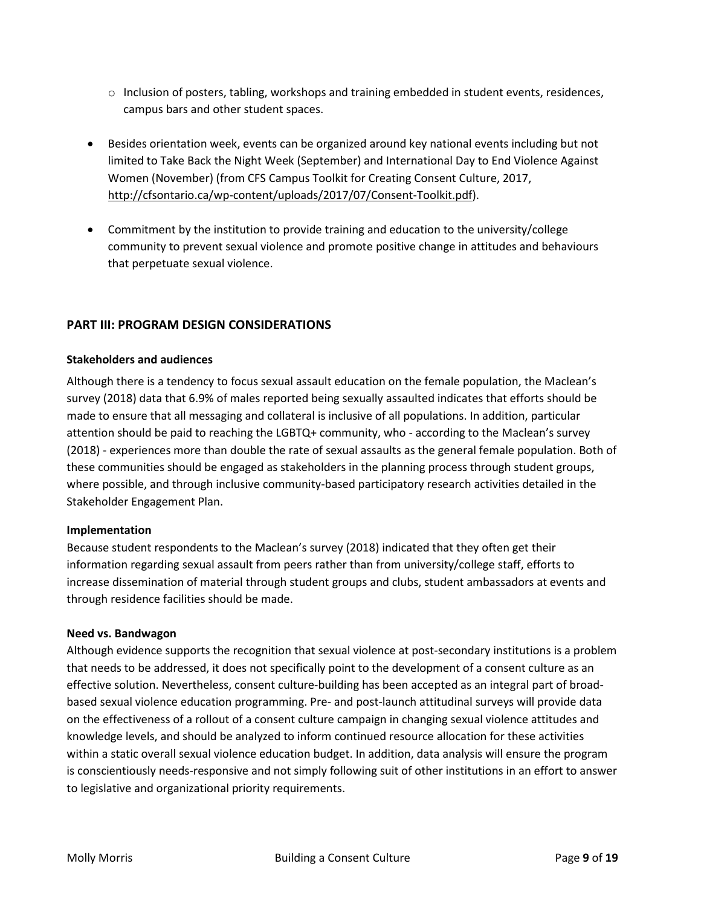- o Inclusion of posters, tabling, workshops and training embedded in student events, residences, campus bars and other student spaces.
- Besides orientation week, events can be organized around key national events including but not limited to Take Back the Night Week (September) and International Day to End Violence Against Women (November) (from CFS Campus Toolkit for Creating Consent Culture, 2017, [http://cfsontario.ca/wp-content/uploads/2017/07/Consent-Toolkit.pdf\)](http://cfsontario.ca/wp-content/uploads/2017/07/Consent-Toolkit.pdf).
- Commitment by the institution to provide training and education to the university/college community to prevent sexual violence and promote positive change in attitudes and behaviours that perpetuate sexual violence.

## **PART III: PROGRAM DESIGN CONSIDERATIONS**

#### **Stakeholders and audiences**

Although there is a tendency to focus sexual assault education on the female population, the Maclean's survey (2018) data that 6.9% of males reported being sexually assaulted indicates that efforts should be made to ensure that all messaging and collateral is inclusive of all populations. In addition, particular attention should be paid to reaching the LGBTQ+ community, who - according to the Maclean's survey (2018) - experiences more than double the rate of sexual assaults as the general female population. Both of these communities should be engaged as stakeholders in the planning process through student groups, where possible, and through inclusive community-based participatory research activities detailed in the Stakeholder Engagement Plan.

#### **Implementation**

Because student respondents to the Maclean's survey (2018) indicated that they often get their information regarding sexual assault from peers rather than from university/college staff, efforts to increase dissemination of material through student groups and clubs, student ambassadors at events and through residence facilities should be made.

#### **Need vs. Bandwagon**

Although evidence supports the recognition that sexual violence at post-secondary institutions is a problem that needs to be addressed, it does not specifically point to the development of a consent culture as an effective solution. Nevertheless, consent culture-building has been accepted as an integral part of broadbased sexual violence education programming. Pre- and post-launch attitudinal surveys will provide data on the effectiveness of a rollout of a consent culture campaign in changing sexual violence attitudes and knowledge levels, and should be analyzed to inform continued resource allocation for these activities within a static overall sexual violence education budget. In addition, data analysis will ensure the program is conscientiously needs-responsive and not simply following suit of other institutions in an effort to answer to legislative and organizational priority requirements.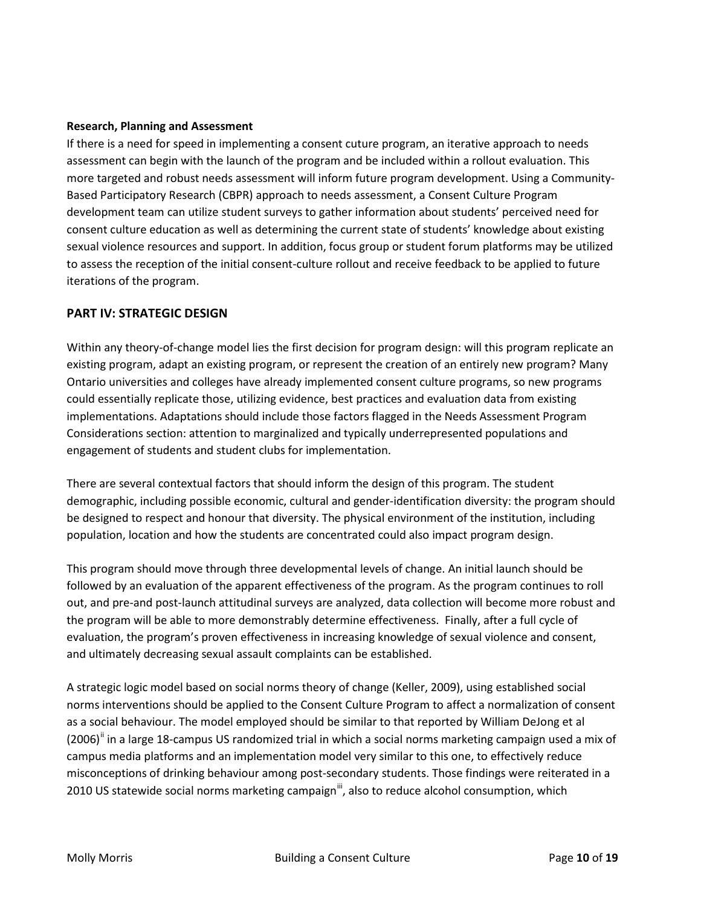#### **Research, Planning and Assessment**

If there is a need for speed in implementing a consent cuture program, an iterative approach to needs assessment can begin with the launch of the program and be included within a rollout evaluation. This more targeted and robust needs assessment will inform future program development. Using a Community-Based Participatory Research (CBPR) approach to needs assessment, a Consent Culture Program development team can utilize student surveys to gather information about students' perceived need for consent culture education as well as determining the current state of students' knowledge about existing sexual violence resources and support. In addition, focus group or student forum platforms may be utilized to assess the reception of the initial consent-culture rollout and receive feedback to be applied to future iterations of the program.

### **PART IV: STRATEGIC DESIGN**

Within any theory-of-change model lies the first decision for program design: will this program replicate an existing program, adapt an existing program, or represent the creation of an entirely new program? Many Ontario universities and colleges have already implemented consent culture programs, so new programs could essentially replicate those, utilizing evidence, best practices and evaluation data from existing implementations. Adaptations should include those factors flagged in the Needs Assessment Program Considerations section: attention to marginalized and typically underrepresented populations and engagement of students and student clubs for implementation.

There are several contextual factors that should inform the design of this program. The student demographic, including possible economic, cultural and gender-identification diversity: the program should be designed to respect and honour that diversity. The physical environment of the institution, including population, location and how the students are concentrated could also impact program design.

This program should move through three developmental levels of change. An initial launch should be followed by an evaluation of the apparent effectiveness of the program. As the program continues to roll out, and pre-and post-launch attitudinal surveys are analyzed, data collection will become more robust and the program will be able to more demonstrably determine effectiveness. Finally, after a full cycle of evaluation, the program's proven effectiveness in increasing knowledge of sexual violence and consent, and ultimately decreasing sexual assault complaints can be established.

A strategic logic model based on social norms theory of change (Keller, 2009), using established social norms interventions should be applied to the Consent Culture Program to affect a normalization of consent as a social behaviour. The model employed should be similar to that reported by William DeJong et al  $(2006)$ <sup>[ii](#page-18-1)</sup> in a large 18-campus US randomized trial in which a social norms marketing campaign used a mix of campus media platforms and an implementation model very similar to this one, to effectively reduce misconceptions of drinking behaviour among post-secondary students. Those findings were reiterated in a 2010 US statewide social norms marketing campaign<sup>III</sup>, also to reduce alcohol consumption, which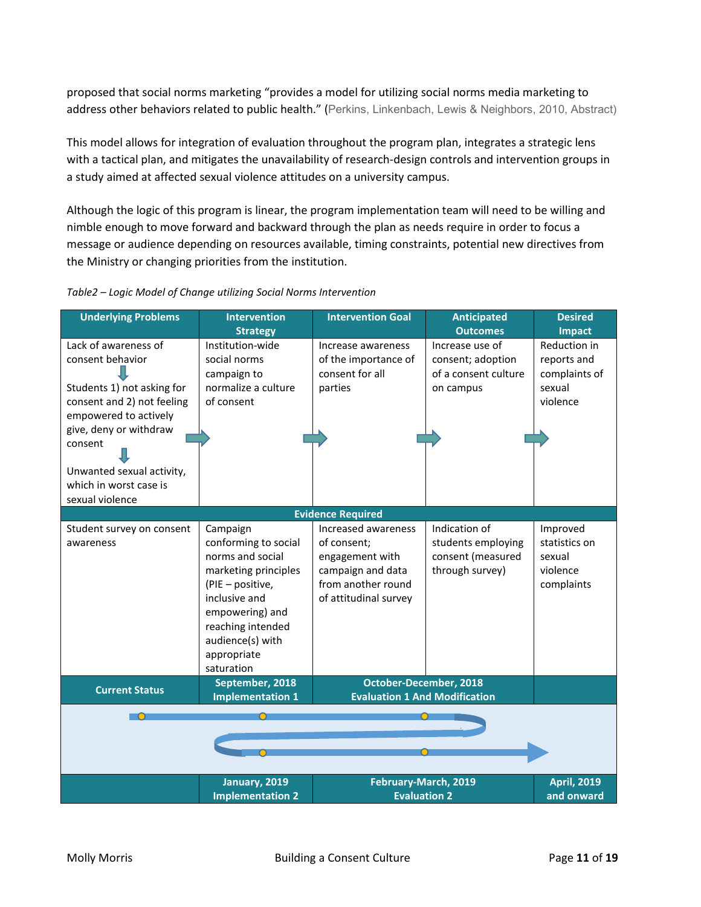proposed that social norms marketing "provides a model for utilizing social norms media marketing to address other behaviors related to public health." (Perkins, Linkenbach, Lewis & Neighbors, 2010, Abstract)

This model allows for integration of evaluation throughout the program plan, integrates a strategic lens with a tactical plan, and mitigates the unavailability of research-design controls and intervention groups in a study aimed at affected sexual violence attitudes on a university campus.

Although the logic of this program is linear, the program implementation team will need to be willing and nimble enough to move forward and backward through the plan as needs require in order to focus a message or audience depending on resources available, timing constraints, potential new directives from the Ministry or changing priorities from the institution.

#### *Table2 – Logic Model of Change utilizing Social Norms Intervention*

| <b>Underlying Problems</b>                                                                                                                                                                                                                   | <b>Intervention</b><br><b>Strategy</b>                                                                                                                                                                     | <b>Intervention Goal</b>                                                                                                  | <b>Anticipated</b><br><b>Outcomes</b>                                       | <b>Desired</b><br>Impact                                           |  |
|----------------------------------------------------------------------------------------------------------------------------------------------------------------------------------------------------------------------------------------------|------------------------------------------------------------------------------------------------------------------------------------------------------------------------------------------------------------|---------------------------------------------------------------------------------------------------------------------------|-----------------------------------------------------------------------------|--------------------------------------------------------------------|--|
| Lack of awareness of<br>consent behavior<br>Students 1) not asking for<br>consent and 2) not feeling<br>empowered to actively<br>give, deny or withdraw<br>consent<br>Unwanted sexual activity,<br>which in worst case is<br>sexual violence | Institution-wide<br>social norms<br>campaign to<br>normalize a culture<br>of consent                                                                                                                       | Increase awareness<br>of the importance of<br>consent for all<br>parties                                                  | Increase use of<br>consent; adoption<br>of a consent culture<br>on campus   | Reduction in<br>reports and<br>complaints of<br>sexual<br>violence |  |
|                                                                                                                                                                                                                                              |                                                                                                                                                                                                            | <b>Evidence Required</b>                                                                                                  |                                                                             |                                                                    |  |
| Student survey on consent<br>awareness                                                                                                                                                                                                       | Campaign<br>conforming to social<br>norms and social<br>marketing principles<br>(PIE - positive,<br>inclusive and<br>empowering) and<br>reaching intended<br>audience(s) with<br>appropriate<br>saturation | Increased awareness<br>of consent;<br>engagement with<br>campaign and data<br>from another round<br>of attitudinal survey | Indication of<br>students employing<br>consent (measured<br>through survey) | Improved<br>statistics on<br>sexual<br>violence<br>complaints      |  |
| <b>Current Status</b>                                                                                                                                                                                                                        | September, 2018<br><b>Implementation 1</b>                                                                                                                                                                 | October-December, 2018<br><b>Evaluation 1 And Modification</b>                                                            |                                                                             |                                                                    |  |
|                                                                                                                                                                                                                                              |                                                                                                                                                                                                            |                                                                                                                           |                                                                             |                                                                    |  |
|                                                                                                                                                                                                                                              | January, 2019<br><b>Implementation 2</b>                                                                                                                                                                   | February-March, 2019<br><b>Evaluation 2</b>                                                                               |                                                                             | <b>April, 2019</b><br>and onward                                   |  |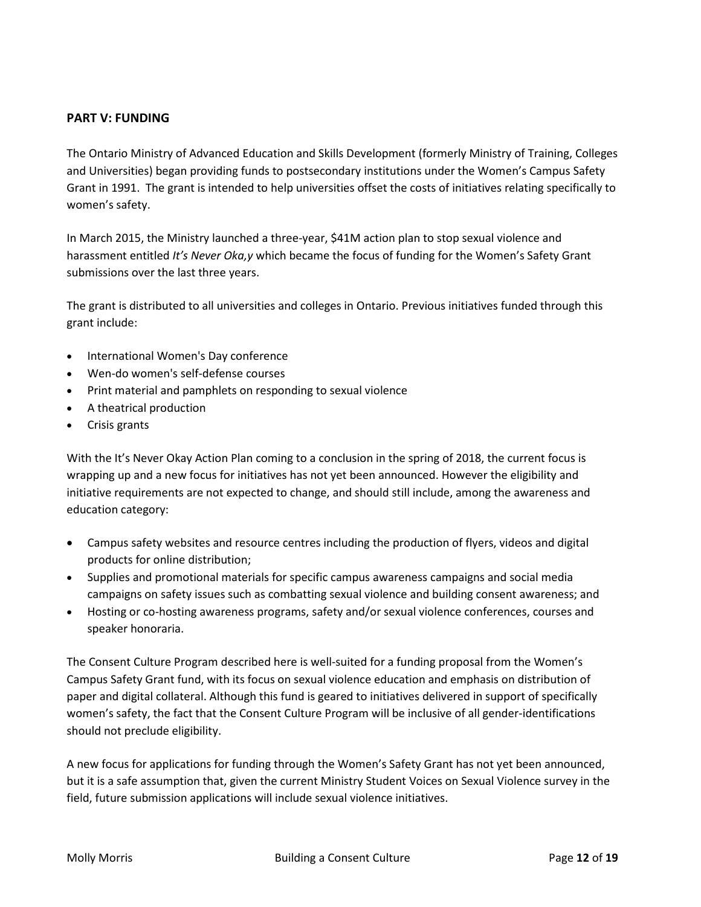## **PART V: FUNDING**

The Ontario Ministry of Advanced Education and Skills Development (formerly Ministry of Training, Colleges and Universities) began providing funds to postsecondary institutions under the Women's Campus Safety Grant in 1991. The grant is intended to help universities offset the costs of initiatives relating specifically to women's safety.

In March 2015, the Ministry launched a three-year, \$41M action plan to stop sexual violence and harassment entitled *It's Never Oka,y* which became the focus of funding for the Women's Safety Grant submissions over the last three years.

The grant is distributed to all universities and colleges in Ontario. Previous initiatives funded through this grant include:

- International Women's Day conference
- Wen-do women's self-defense courses
- Print material and pamphlets on responding to sexual violence
- A theatrical production
- Crisis grants

With the It's Never Okay Action Plan coming to a conclusion in the spring of 2018, the current focus is wrapping up and a new focus for initiatives has not yet been announced. However the eligibility and initiative requirements are not expected to change, and should still include, among the awareness and education category:

- Campus safety websites and resource centres including the production of flyers, videos and digital products for online distribution;
- Supplies and promotional materials for specific campus awareness campaigns and social media campaigns on safety issues such as combatting sexual violence and building consent awareness; and
- Hosting or co-hosting awareness programs, safety and/or sexual violence conferences, courses and speaker honoraria.

The Consent Culture Program described here is well-suited for a funding proposal from the Women's Campus Safety Grant fund, with its focus on sexual violence education and emphasis on distribution of paper and digital collateral. Although this fund is geared to initiatives delivered in support of specifically women's safety, the fact that the Consent Culture Program will be inclusive of all gender-identifications should not preclude eligibility.

A new focus for applications for funding through the Women's Safety Grant has not yet been announced, but it is a safe assumption that, given the current Ministry Student Voices on Sexual Violence survey in the field, future submission applications will include sexual violence initiatives.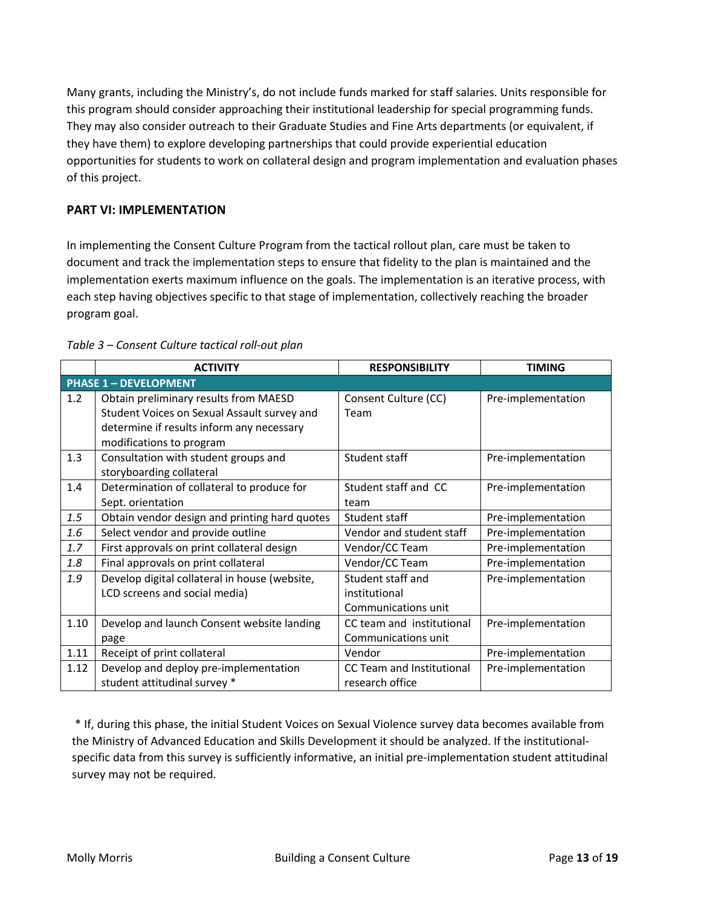Many grants, including the Ministry's, do not include funds marked for staff salaries. Units responsible for this program should consider approaching their institutional leadership for special programming funds. They may also consider outreach to their Graduate Studies and Fine Arts departments (or equivalent, if they have them) to explore developing partnerships that could provide experiential education opportunities for students to work on collateral design and program implementation and evaluation phases of this project.

## **PART VI: IMPLEMENTATION**

In implementing the Consent Culture Program from the tactical rollout plan, care must be taken to document and track the implementation steps to ensure that fidelity to the plan is maintained and the implementation exerts maximum influence on the goals. The implementation is an iterative process, with each step having objectives specific to that stage of implementation, collectively reaching the broader program goal.

|      | <b>ACTIVITY</b>                                                                                                                                               | <b>RESPONSIBILITY</b>                                     | <b>TIMING</b>      |
|------|---------------------------------------------------------------------------------------------------------------------------------------------------------------|-----------------------------------------------------------|--------------------|
|      | <b>PHASE 1 - DEVELOPMENT</b>                                                                                                                                  |                                                           |                    |
| 1.2  | Obtain preliminary results from MAESD<br>Student Voices on Sexual Assault survey and<br>determine if results inform any necessary<br>modifications to program | Consent Culture (CC)<br>Team                              | Pre-implementation |
| 1.3  | Consultation with student groups and<br>storyboarding collateral                                                                                              | Student staff                                             | Pre-implementation |
| 1.4  | Determination of collateral to produce for<br>Sept. orientation                                                                                               | Student staff and CC<br>team                              | Pre-implementation |
| 1.5  | Obtain vendor design and printing hard quotes                                                                                                                 | Student staff                                             | Pre-implementation |
| 1.6  | Select vendor and provide outline                                                                                                                             | Vendor and student staff                                  | Pre-implementation |
| 1.7  | First approvals on print collateral design                                                                                                                    | Vendor/CC Team                                            | Pre-implementation |
| 1.8  | Final approvals on print collateral                                                                                                                           | Vendor/CC Team                                            | Pre-implementation |
| 1.9  | Develop digital collateral in house (website,<br>LCD screens and social media)                                                                                | Student staff and<br>institutional<br>Communications unit | Pre-implementation |
| 1.10 | Develop and launch Consent website landing<br>page                                                                                                            | CC team and institutional<br>Communications unit          | Pre-implementation |
| 1.11 | Receipt of print collateral                                                                                                                                   | Vendor                                                    | Pre-implementation |
| 1.12 | Develop and deploy pre-implementation<br>student attitudinal survey *                                                                                         | CC Team and Institutional<br>research office              | Pre-implementation |

#### *Table 3 – Consent Culture tactical roll-out plan*

\* If, during this phase, the initial Student Voices on Sexual Violence survey data becomes available from the Ministry of Advanced Education and Skills Development it should be analyzed. If the institutionalspecific data from this survey is sufficiently informative, an initial pre-implementation student attitudinal survey may not be required.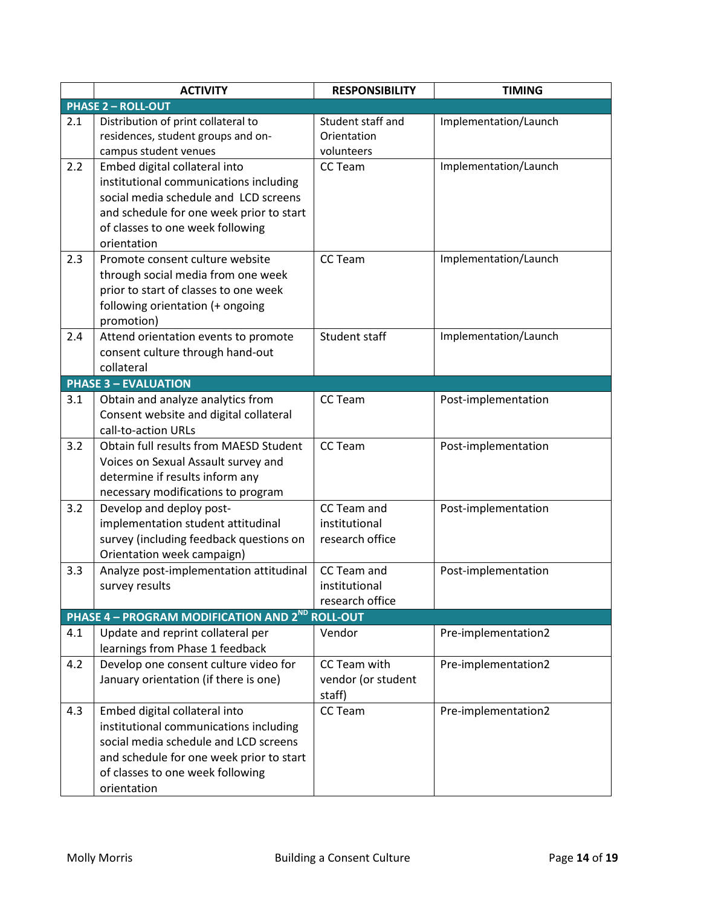|     | <b>ACTIVITY</b>                                                                                                                                                                                                 | <b>RESPONSIBILITY</b>                           | <b>TIMING</b>         |
|-----|-----------------------------------------------------------------------------------------------------------------------------------------------------------------------------------------------------------------|-------------------------------------------------|-----------------------|
|     | <b>PHASE 2 - ROLL-OUT</b>                                                                                                                                                                                       |                                                 |                       |
| 2.1 | Distribution of print collateral to<br>residences, student groups and on-<br>campus student venues                                                                                                              | Student staff and<br>Orientation<br>volunteers  | Implementation/Launch |
| 2.2 | Embed digital collateral into<br>institutional communications including<br>social media schedule and LCD screens<br>and schedule for one week prior to start<br>of classes to one week following<br>orientation | CC Team                                         | Implementation/Launch |
| 2.3 | Promote consent culture website<br>through social media from one week<br>prior to start of classes to one week<br>following orientation (+ ongoing<br>promotion)                                                | CC Team                                         | Implementation/Launch |
| 2.4 | Attend orientation events to promote<br>consent culture through hand-out<br>collateral                                                                                                                          | Student staff                                   | Implementation/Launch |
|     | <b>PHASE 3 - EVALUATION</b>                                                                                                                                                                                     |                                                 |                       |
| 3.1 | Obtain and analyze analytics from<br>Consent website and digital collateral<br>call-to-action URLs                                                                                                              | <b>CC Team</b>                                  | Post-implementation   |
| 3.2 | Obtain full results from MAESD Student<br>Voices on Sexual Assault survey and<br>determine if results inform any<br>necessary modifications to program                                                          | CC Team                                         | Post-implementation   |
| 3.2 | Develop and deploy post-<br>implementation student attitudinal<br>survey (including feedback questions on<br>Orientation week campaign)                                                                         | CC Team and<br>institutional<br>research office | Post-implementation   |
| 3.3 | Analyze post-implementation attitudinal<br>survey results                                                                                                                                                       | CC Team and<br>institutional<br>research office | Post-implementation   |
|     | PHASE 4 - PROGRAM MODIFICATION AND 2ND                                                                                                                                                                          | <b>ROLL-OUT</b>                                 |                       |
| 4.1 | Update and reprint collateral per<br>learnings from Phase 1 feedback                                                                                                                                            | Vendor                                          | Pre-implementation2   |
| 4.2 | Develop one consent culture video for<br>January orientation (if there is one)                                                                                                                                  | CC Team with<br>vendor (or student<br>staff)    | Pre-implementation2   |
| 4.3 | Embed digital collateral into<br>institutional communications including<br>social media schedule and LCD screens<br>and schedule for one week prior to start<br>of classes to one week following<br>orientation | CC Team                                         | Pre-implementation2   |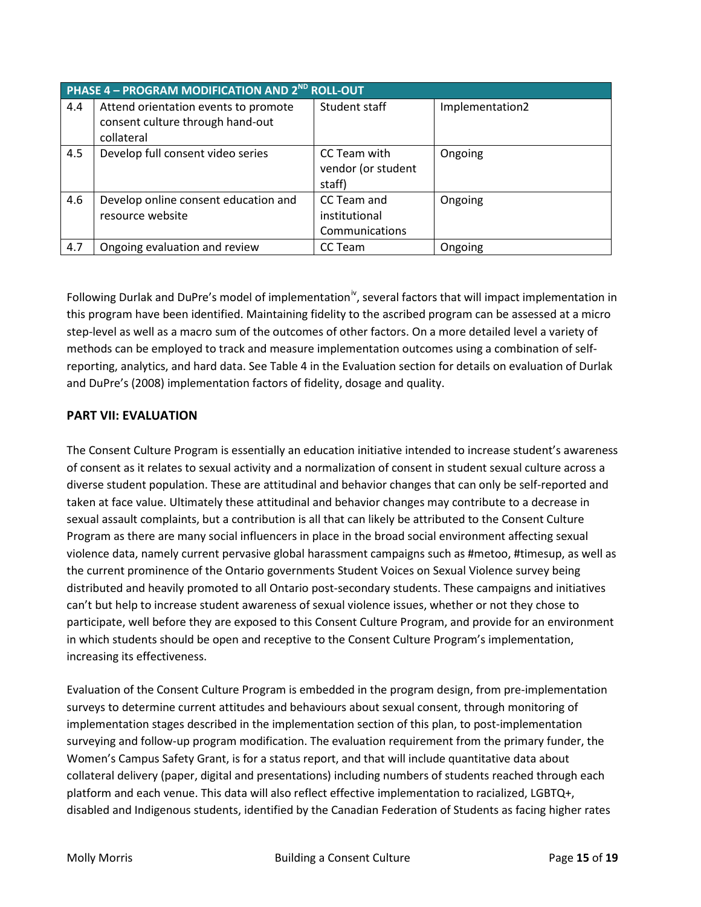|     | PHASE 4 - PROGRAM MODIFICATION AND 2 <sup>ND</sup> ROLL-OUT                            |                                                |                 |  |  |  |  |
|-----|----------------------------------------------------------------------------------------|------------------------------------------------|-----------------|--|--|--|--|
| 4.4 | Attend orientation events to promote<br>consent culture through hand-out<br>collateral | Student staff                                  | Implementation2 |  |  |  |  |
| 4.5 | Develop full consent video series                                                      | CC Team with<br>vendor (or student<br>staff)   | Ongoing         |  |  |  |  |
| 4.6 | Develop online consent education and<br>resource website                               | CC Team and<br>institutional<br>Communications | Ongoing         |  |  |  |  |
| 4.7 | Ongoing evaluation and review                                                          | CC Team                                        | Ongoing         |  |  |  |  |

Following Durlak and DuPre's model of implementation<sup>iv</sup>, several factors that will impact implementation in this program have been identified. Maintaining fidelity to the ascribed program can be assessed at a micro step-level as well as a macro sum of the outcomes of other factors. On a more detailed level a variety of methods can be employed to track and measure implementation outcomes using a combination of selfreporting, analytics, and hard data. See Table 4 in the Evaluation section for details on evaluation of Durlak and DuPre's (2008) implementation factors of fidelity, dosage and quality.

## **PART VII: EVALUATION**

The Consent Culture Program is essentially an education initiative intended to increase student's awareness of consent as it relates to sexual activity and a normalization of consent in student sexual culture across a diverse student population. These are attitudinal and behavior changes that can only be self-reported and taken at face value. Ultimately these attitudinal and behavior changes may contribute to a decrease in sexual assault complaints, but a contribution is all that can likely be attributed to the Consent Culture Program as there are many social influencers in place in the broad social environment affecting sexual violence data, namely current pervasive global harassment campaigns such as #metoo, #timesup, as well as the current prominence of the Ontario governments Student Voices on Sexual Violence survey being distributed and heavily promoted to all Ontario post-secondary students. These campaigns and initiatives can't but help to increase student awareness of sexual violence issues, whether or not they chose to participate, well before they are exposed to this Consent Culture Program, and provide for an environment in which students should be open and receptive to the Consent Culture Program's implementation, increasing its effectiveness.

Evaluation of the Consent Culture Program is embedded in the program design, from pre-implementation surveys to determine current attitudes and behaviours about sexual consent, through monitoring of implementation stages described in the implementation section of this plan, to post-implementation surveying and follow-up program modification. The evaluation requirement from the primary funder, the Women's Campus Safety Grant, is for a status report, and that will include quantitative data about collateral delivery (paper, digital and presentations) including numbers of students reached through each platform and each venue. This data will also reflect effective implementation to racialized, LGBTQ+, disabled and Indigenous students, identified by the Canadian Federation of Students as facing higher rates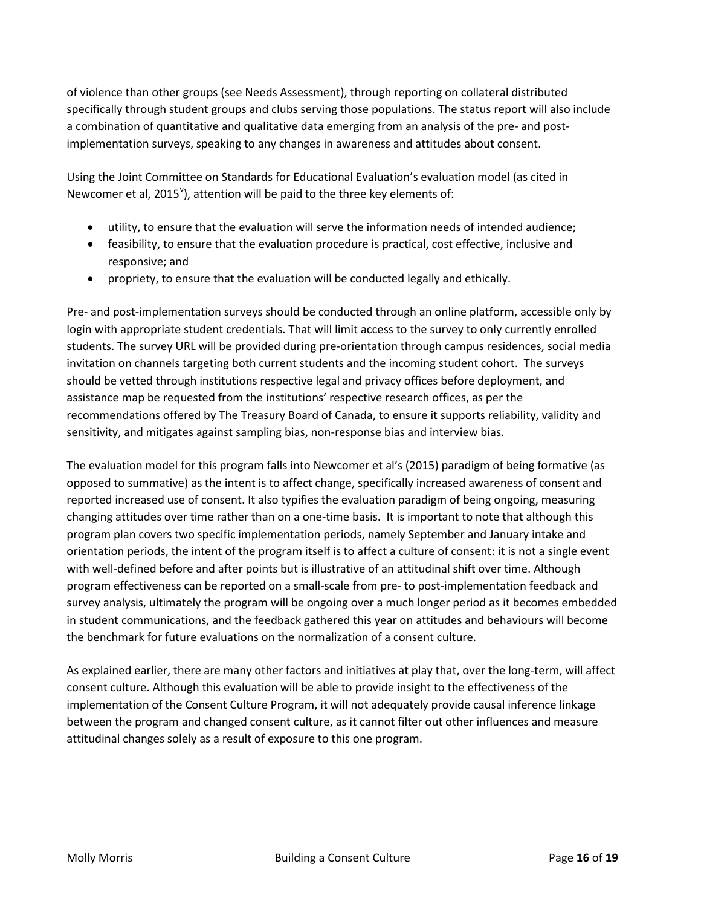of violence than other groups (see Needs Assessment), through reporting on collateral distributed specifically through student groups and clubs serving those populations. The status report will also include a combination of quantitative and qualitative data emerging from an analysis of the pre- and postimplementation surveys, speaking to any changes in awareness and attitudes about consent.

Using the Joint Committee on Standards for Educational Evaluation's evaluation model (as cited in Newcomer et al,  $2015^{\circ}$ ), attention will be paid to the three key elements of:

- utility, to ensure that the evaluation will serve the information needs of intended audience;
- feasibility, to ensure that the evaluation procedure is practical, cost effective, inclusive and responsive; and
- propriety, to ensure that the evaluation will be conducted legally and ethically.

Pre- and post-implementation surveys should be conducted through an online platform, accessible only by login with appropriate student credentials. That will limit access to the survey to only currently enrolled students. The survey URL will be provided during pre-orientation through campus residences, social media invitation on channels targeting both current students and the incoming student cohort. The surveys should be vetted through institutions respective legal and privacy offices before deployment, and assistance map be requested from the institutions' respective research offices, as per the recommendations offered by The Treasury Board of Canada, to ensure it supports reliability, validity and sensitivity, and mitigates against sampling bias, non-response bias and interview bias.

The evaluation model for this program falls into Newcomer et al's (2015) paradigm of being formative (as opposed to summative) as the intent is to affect change, specifically increased awareness of consent and reported increased use of consent. It also typifies the evaluation paradigm of being ongoing, measuring changing attitudes over time rather than on a one-time basis. It is important to note that although this program plan covers two specific implementation periods, namely September and January intake and orientation periods, the intent of the program itself is to affect a culture of consent: it is not a single event with well-defined before and after points but is illustrative of an attitudinal shift over time. Although program effectiveness can be reported on a small-scale from pre- to post-implementation feedback and survey analysis, ultimately the program will be ongoing over a much longer period as it becomes embedded in student communications, and the feedback gathered this year on attitudes and behaviours will become the benchmark for future evaluations on the normalization of a consent culture.

As explained earlier, there are many other factors and initiatives at play that, over the long-term, will affect consent culture. Although this evaluation will be able to provide insight to the effectiveness of the implementation of the Consent Culture Program, it will not adequately provide causal inference linkage between the program and changed consent culture, as it cannot filter out other influences and measure attitudinal changes solely as a result of exposure to this one program.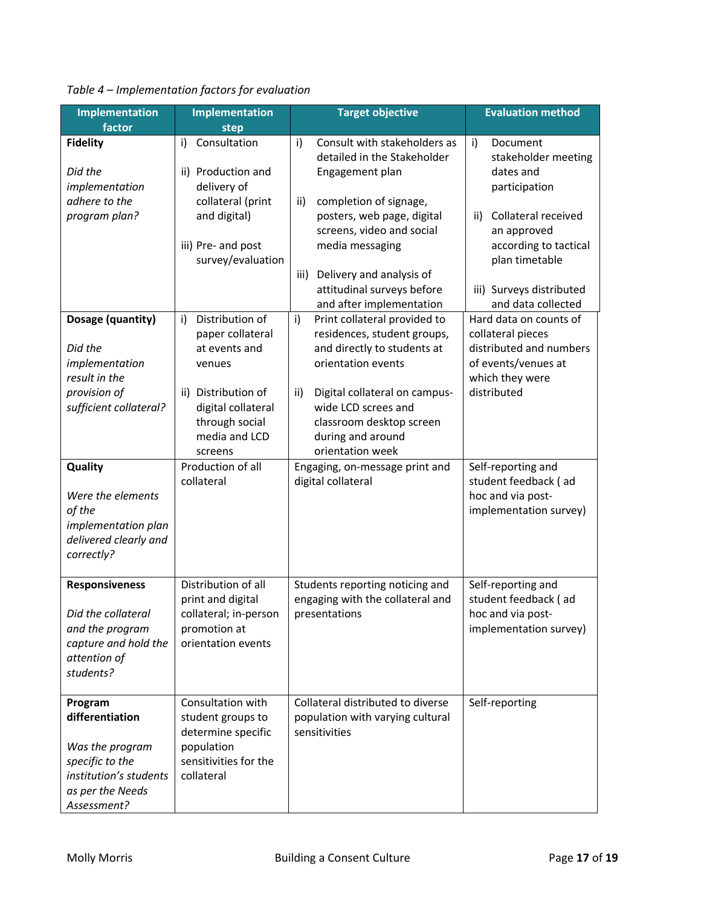| <b>Implementation</b><br>factor                                                                                               | <b>Implementation</b><br>step                                                                                                                                                                         | <b>Target objective</b>                                                                                                                                                                                                                                                                                                                                                                               | <b>Evaluation method</b>                                                                                                                                                                                                                                                                |
|-------------------------------------------------------------------------------------------------------------------------------|-------------------------------------------------------------------------------------------------------------------------------------------------------------------------------------------------------|-------------------------------------------------------------------------------------------------------------------------------------------------------------------------------------------------------------------------------------------------------------------------------------------------------------------------------------------------------------------------------------------------------|-----------------------------------------------------------------------------------------------------------------------------------------------------------------------------------------------------------------------------------------------------------------------------------------|
| <b>Fidelity</b><br>Did the<br>implementation<br>adhere to the<br>program plan?<br>Dosage (quantity)<br>Did the                | i)<br>Consultation<br>ii) Production and<br>delivery of<br>collateral (print<br>and digital)<br>iii) Pre- and post<br>survey/evaluation<br>Distribution of<br>i)<br>paper collateral<br>at events and | i)<br>Consult with stakeholders as<br>detailed in the Stakeholder<br>Engagement plan<br>completion of signage,<br>ii)<br>posters, web page, digital<br>screens, video and social<br>media messaging<br>iii)<br>Delivery and analysis of<br>attitudinal surveys before<br>and after implementation<br>Print collateral provided to<br>i)<br>residences, student groups,<br>and directly to students at | i)<br>Document<br>stakeholder meeting<br>dates and<br>participation<br>Collateral received<br>ii)<br>an approved<br>according to tactical<br>plan timetable<br>iii) Surveys distributed<br>and data collected<br>Hard data on counts of<br>collateral pieces<br>distributed and numbers |
| implementation<br>result in the<br>provision of<br>sufficient collateral?                                                     | venues<br>ii) Distribution of<br>digital collateral<br>through social<br>media and LCD<br>screens                                                                                                     | orientation events<br>Digital collateral on campus-<br>ii)<br>wide LCD screes and<br>classroom desktop screen<br>during and around<br>orientation week                                                                                                                                                                                                                                                | of events/venues at<br>which they were<br>distributed                                                                                                                                                                                                                                   |
| <b>Quality</b><br>Were the elements<br>of the<br>implementation plan<br>delivered clearly and<br>correctly?                   | Production of all<br>collateral                                                                                                                                                                       | Engaging, on-message print and<br>digital collateral                                                                                                                                                                                                                                                                                                                                                  | Self-reporting and<br>student feedback (ad<br>hoc and via post-<br>implementation survey)                                                                                                                                                                                               |
| <b>Responsiveness</b><br>Did the collateral<br>and the program<br>capture and hold the<br>attention of<br>students?           | Distribution of all<br>print and digital<br>collateral; in-person<br>promotion at<br>orientation events                                                                                               | Students reporting noticing and<br>engaging with the collateral and<br>presentations                                                                                                                                                                                                                                                                                                                  | Self-reporting and<br>student feedback (ad<br>hoc and via post-<br>implementation survey)                                                                                                                                                                                               |
| Program<br>differentiation<br>Was the program<br>specific to the<br>institution's students<br>as per the Needs<br>Assessment? | Consultation with<br>student groups to<br>determine specific<br>population<br>sensitivities for the<br>collateral                                                                                     | Collateral distributed to diverse<br>population with varying cultural<br>sensitivities                                                                                                                                                                                                                                                                                                                | Self-reporting                                                                                                                                                                                                                                                                          |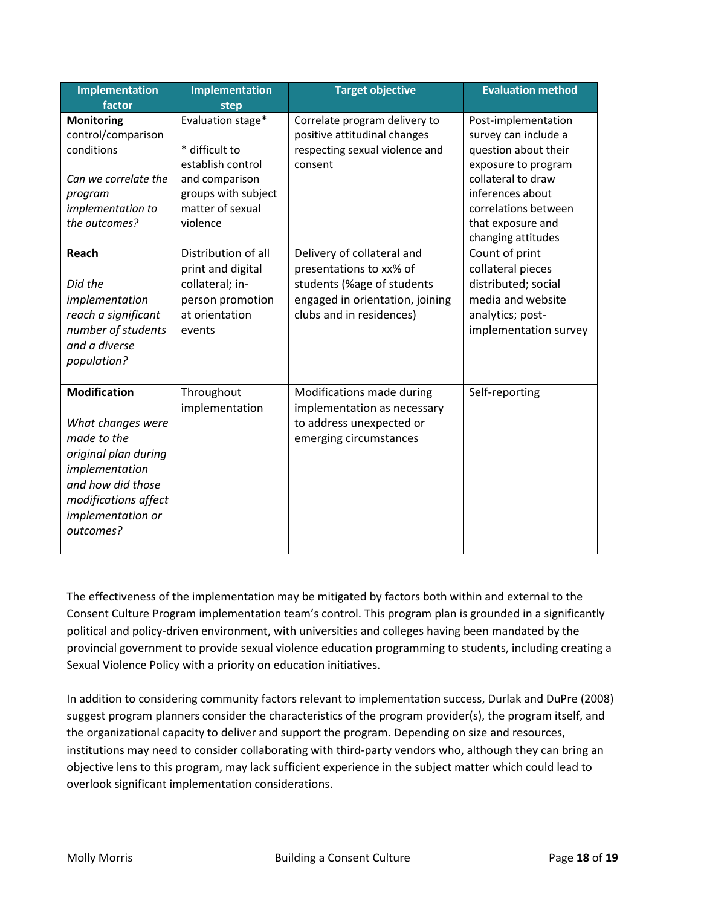| <b>Implementation</b><br>factor                                                                                                                                                  | <b>Implementation</b><br>step                                                                                                     | <b>Target objective</b>                                                                                                                            | <b>Evaluation method</b>                                                                                                                                                                                |
|----------------------------------------------------------------------------------------------------------------------------------------------------------------------------------|-----------------------------------------------------------------------------------------------------------------------------------|----------------------------------------------------------------------------------------------------------------------------------------------------|---------------------------------------------------------------------------------------------------------------------------------------------------------------------------------------------------------|
| <b>Monitoring</b><br>control/comparison<br>conditions<br>Can we correlate the<br>program<br>implementation to<br>the outcomes?                                                   | Evaluation stage*<br>* difficult to<br>establish control<br>and comparison<br>groups with subject<br>matter of sexual<br>violence | Correlate program delivery to<br>positive attitudinal changes<br>respecting sexual violence and<br>consent                                         | Post-implementation<br>survey can include a<br>question about their<br>exposure to program<br>collateral to draw<br>inferences about<br>correlations between<br>that exposure and<br>changing attitudes |
| Reach<br>Did the<br>implementation<br>reach a significant<br>number of students<br>and a diverse<br>population?                                                                  | Distribution of all<br>print and digital<br>collateral; in-<br>person promotion<br>at orientation<br>events                       | Delivery of collateral and<br>presentations to xx% of<br>students (%age of students<br>engaged in orientation, joining<br>clubs and in residences) | Count of print<br>collateral pieces<br>distributed; social<br>media and website<br>analytics; post-<br>implementation survey                                                                            |
| <b>Modification</b><br>What changes were<br>made to the<br>original plan during<br>implementation<br>and how did those<br>modifications affect<br>implementation or<br>outcomes? | Throughout<br>implementation                                                                                                      | Modifications made during<br>implementation as necessary<br>to address unexpected or<br>emerging circumstances                                     | Self-reporting                                                                                                                                                                                          |

The effectiveness of the implementation may be mitigated by factors both within and external to the Consent Culture Program implementation team's control. This program plan is grounded in a significantly political and policy-driven environment, with universities and colleges having been mandated by the provincial government to provide sexual violence education programming to students, including creating a Sexual Violence Policy with a priority on education initiatives.

In addition to considering community factors relevant to implementation success, Durlak and DuPre (2008) suggest program planners consider the characteristics of the program provider(s), the program itself, and the organizational capacity to deliver and support the program. Depending on size and resources, institutions may need to consider collaborating with third-party vendors who, although they can bring an objective lens to this program, may lack sufficient experience in the subject matter which could lead to overlook significant implementation considerations.